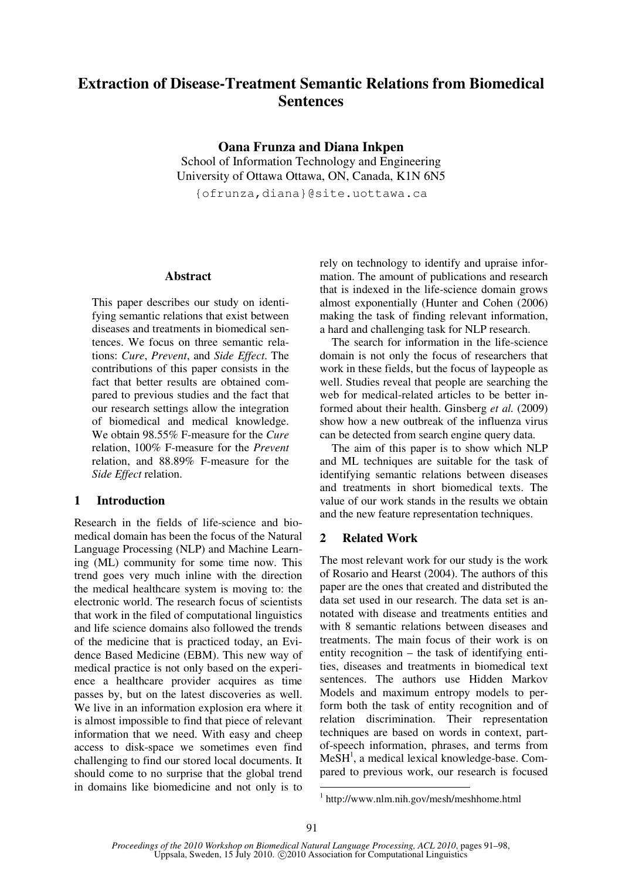# **Extraction of Disease-Treatment Semantic Relations from Biomedical Sentences**

**Oana Frunza and Diana Inkpen**  School of Information Technology and Engineering University of Ottawa Ottawa, ON, Canada, K1N 6N5

{ofrunza,diana}@site.uottawa.ca

#### **Abstract**

This paper describes our study on identifying semantic relations that exist between diseases and treatments in biomedical sentences. We focus on three semantic relations: *Cure*, *Prevent*, and *Side Effect*. The contributions of this paper consists in the fact that better results are obtained compared to previous studies and the fact that our research settings allow the integration of biomedical and medical knowledge. We obtain 98.55% F-measure for the *Cure* relation, 100% F-measure for the *Prevent* relation, and 88.89% F-measure for the *Side Effect* relation.

# **1 Introduction**

Research in the fields of life-science and biomedical domain has been the focus of the Natural Language Processing (NLP) and Machine Learning (ML) community for some time now. This trend goes very much inline with the direction the medical healthcare system is moving to: the electronic world. The research focus of scientists that work in the filed of computational linguistics and life science domains also followed the trends of the medicine that is practiced today, an Evidence Based Medicine (EBM). This new way of medical practice is not only based on the experience a healthcare provider acquires as time passes by, but on the latest discoveries as well. We live in an information explosion era where it is almost impossible to find that piece of relevant information that we need. With easy and cheep access to disk-space we sometimes even find challenging to find our stored local documents. It should come to no surprise that the global trend in domains like biomedicine and not only is to rely on technology to identify and upraise information. The amount of publications and research that is indexed in the life-science domain grows almost exponentially (Hunter and Cohen (2006) making the task of finding relevant information, a hard and challenging task for NLP research.

The search for information in the life-science domain is not only the focus of researchers that work in these fields, but the focus of laypeople as well. Studies reveal that people are searching the web for medical-related articles to be better informed about their health. Ginsberg *et al.* (2009) show how a new outbreak of the influenza virus can be detected from search engine query data.

The aim of this paper is to show which NLP and ML techniques are suitable for the task of identifying semantic relations between diseases and treatments in short biomedical texts. The value of our work stands in the results we obtain and the new feature representation techniques.

# **2 Related Work**

The most relevant work for our study is the work of Rosario and Hearst (2004). The authors of this paper are the ones that created and distributed the data set used in our research. The data set is annotated with disease and treatments entities and with 8 semantic relations between diseases and treatments. The main focus of their work is on entity recognition – the task of identifying entities, diseases and treatments in biomedical text sentences. The authors use Hidden Markov Models and maximum entropy models to perform both the task of entity recognition and of relation discrimination. Their representation techniques are based on words in context, partof-speech information, phrases, and terms from  $MeSH<sup>1</sup>$ , a medical lexical knowledge-base. Compared to previous work, our research is focused

<sup>1</sup> http://www.nlm.nih.gov/mesh/meshhome.html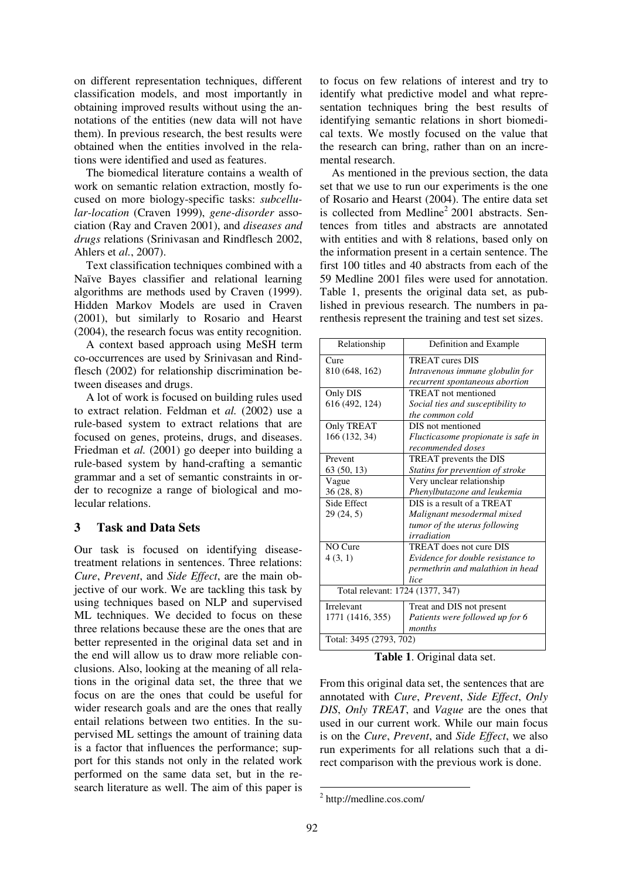on different representation techniques, different classification models, and most importantly in obtaining improved results without using the annotations of the entities (new data will not have them). In previous research, the best results were obtained when the entities involved in the relations were identified and used as features.

The biomedical literature contains a wealth of work on semantic relation extraction, mostly focused on more biology-specific tasks: *subcellular-location* (Craven 1999), *gene-disorder* association (Ray and Craven 2001), and *diseases and drugs* relations (Srinivasan and Rindflesch 2002, Ahlers et *al.*, 2007).

Text classification techniques combined with a Naïve Bayes classifier and relational learning algorithms are methods used by Craven (1999). Hidden Markov Models are used in Craven (2001), but similarly to Rosario and Hearst (2004), the research focus was entity recognition.

A context based approach using MeSH term co-occurrences are used by Srinivasan and Rindflesch (2002) for relationship discrimination between diseases and drugs.

A lot of work is focused on building rules used to extract relation. Feldman et *al.* (2002) use a rule-based system to extract relations that are focused on genes, proteins, drugs, and diseases. Friedman et *al.* (2001) go deeper into building a rule-based system by hand-crafting a semantic grammar and a set of semantic constraints in order to recognize a range of biological and molecular relations.

#### **3 Task and Data Sets**

Our task is focused on identifying diseasetreatment relations in sentences. Three relations: *Cure*, *Prevent*, and *Side Effect*, are the main objective of our work. We are tackling this task by using techniques based on NLP and supervised ML techniques. We decided to focus on these three relations because these are the ones that are better represented in the original data set and in the end will allow us to draw more reliable conclusions. Also, looking at the meaning of all relations in the original data set, the three that we focus on are the ones that could be useful for wider research goals and are the ones that really entail relations between two entities. In the supervised ML settings the amount of training data is a factor that influences the performance; support for this stands not only in the related work performed on the same data set, but in the research literature as well. The aim of this paper is to focus on few relations of interest and try to identify what predictive model and what representation techniques bring the best results of identifying semantic relations in short biomedical texts. We mostly focused on the value that the research can bring, rather than on an incremental research.

As mentioned in the previous section, the data set that we use to run our experiments is the one of Rosario and Hearst (2004). The entire data set is collected from Medline<sup>2</sup> 2001 abstracts. Sentences from titles and abstracts are annotated with entities and with 8 relations, based only on the information present in a certain sentence. The first 100 titles and 40 abstracts from each of the 59 Medline 2001 files were used for annotation. Table 1, presents the original data set, as published in previous research. The numbers in parenthesis represent the training and test set sizes.

| Relationship                     | Definition and Example             |
|----------------------------------|------------------------------------|
| Cure                             | <b>TREAT</b> cures DIS             |
| 810 (648, 162)                   | Intravenous immune globulin for    |
|                                  | recurrent spontaneous abortion     |
| Only DIS                         | TREAT not mentioned                |
| 616 (492, 124)                   | Social ties and susceptibility to  |
|                                  | the common cold                    |
| Only TREAT                       | DIS not mentioned                  |
| 166 (132, 34)                    | Flucticasome propionate is safe in |
|                                  | recommended doses                  |
| Prevent                          | TREAT prevents the DIS             |
| 63 (50, 13)                      | Statins for prevention of stroke   |
| Vague                            | Very unclear relationship          |
| 36(28, 8)                        | Phenylbutazone and leukemia        |
| Side Effect                      | DIS is a result of a TREAT         |
| 29(24, 5)                        | Malignant mesodermal mixed         |
|                                  | tumor of the uterus following      |
|                                  | irradiation                        |
| NO Cure                          | TREAT does not cure DIS            |
| 4(3, 1)                          | Evidence for double resistance to  |
|                                  | permethrin and malathion in head   |
|                                  | lice                               |
| Total relevant: 1724 (1377, 347) |                                    |
| Irrelevant                       | Treat and DIS not present          |
| 1771 (1416, 355)                 | Patients were followed up for 6    |
|                                  | months                             |
| Total: 3495 (2793, 702)          |                                    |

**Table 1**. Original data set.

From this original data set, the sentences that are annotated with *Cure*, *Prevent*, *Side Effect*, *Only DIS*, *Only TREAT*, and *Vague* are the ones that used in our current work. While our main focus is on the *Cure*, *Prevent*, and *Side Effect*, we also run experiments for all relations such that a direct comparison with the previous work is done.

<sup>2</sup> http://medline.cos.com/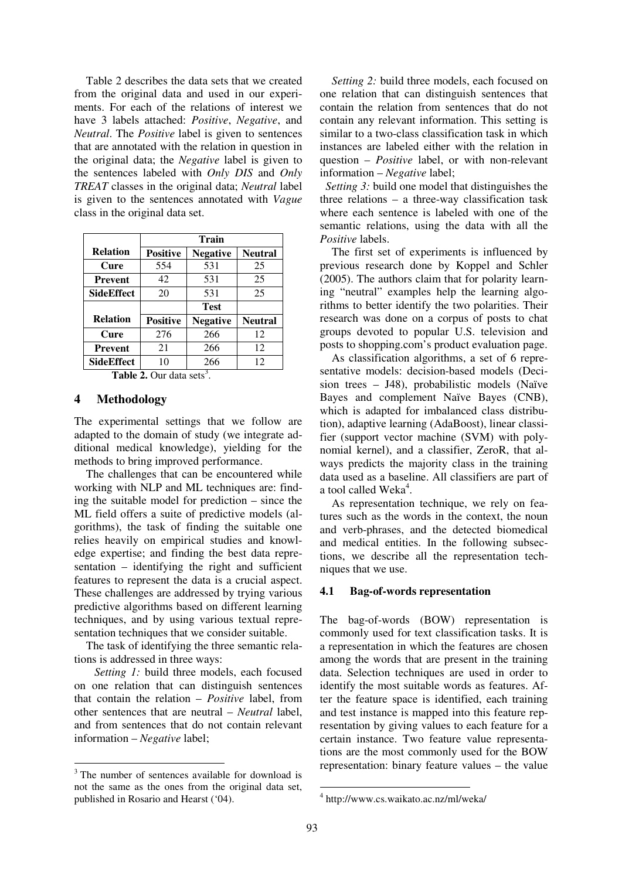Table 2 describes the data sets that we created from the original data and used in our experiments. For each of the relations of interest we have 3 labels attached: *Positive*, *Negative*, and *Neutral*. The *Positive* label is given to sentences that are annotated with the relation in question in the original data; the *Negative* label is given to the sentences labeled with *Only DIS* and *Only TREAT* classes in the original data; *Neutral* label is given to the sentences annotated with *Vague* class in the original data set.

|                   | Train           |                 |                |  |  |
|-------------------|-----------------|-----------------|----------------|--|--|
| <b>Relation</b>   | <b>Positive</b> | <b>Negative</b> | <b>Neutral</b> |  |  |
| Cure              | 554             | 531             | 25             |  |  |
| <b>Prevent</b>    | 42              | 531             | 25             |  |  |
| <b>SideEffect</b> | 20              | 531             | 25             |  |  |
|                   |                 | <b>Test</b>     |                |  |  |
| <b>Relation</b>   | <b>Positive</b> | <b>Negative</b> | <b>Neutral</b> |  |  |
| Cure              | 276             | 266             | 12             |  |  |
| <b>Prevent</b>    | 21              | 266             | 12             |  |  |
| <b>SideEffect</b> | 10              | 266             | 12             |  |  |

**Table 2.** Our data sets<sup>3</sup>.

# **4 Methodology**

The experimental settings that we follow are adapted to the domain of study (we integrate additional medical knowledge), yielding for the methods to bring improved performance.

The challenges that can be encountered while working with NLP and ML techniques are: finding the suitable model for prediction – since the ML field offers a suite of predictive models (algorithms), the task of finding the suitable one relies heavily on empirical studies and knowledge expertise; and finding the best data representation – identifying the right and sufficient features to represent the data is a crucial aspect. These challenges are addressed by trying various predictive algorithms based on different learning techniques, and by using various textual representation techniques that we consider suitable.

The task of identifying the three semantic relations is addressed in three ways:

*Setting 1:* build three models, each focused on one relation that can distinguish sentences that contain the relation – *Positive* label, from other sentences that are neutral – *Neutral* label, and from sentences that do not contain relevant information – *Negative* label;

*Setting 2:* build three models, each focused on one relation that can distinguish sentences that contain the relation from sentences that do not contain any relevant information. This setting is similar to a two-class classification task in which instances are labeled either with the relation in question – *Positive* label, or with non-relevant information – *Negative* label;

 *Setting 3:* build one model that distinguishes the three relations – a three-way classification task where each sentence is labeled with one of the semantic relations, using the data with all the *Positive* labels.

The first set of experiments is influenced by previous research done by Koppel and Schler (2005). The authors claim that for polarity learning "neutral" examples help the learning algorithms to better identify the two polarities. Their research was done on a corpus of posts to chat groups devoted to popular U.S. television and posts to shopping.com's product evaluation page.

As classification algorithms, a set of 6 representative models: decision-based models (Decision trees – J48), probabilistic models (Naïve Bayes and complement Naïve Bayes (CNB), which is adapted for imbalanced class distribution), adaptive learning (AdaBoost), linear classifier (support vector machine (SVM) with polynomial kernel), and a classifier, ZeroR, that always predicts the majority class in the training data used as a baseline. All classifiers are part of a tool called Weka<sup>4</sup>.

As representation technique, we rely on features such as the words in the context, the noun and verb-phrases, and the detected biomedical and medical entities. In the following subsections, we describe all the representation techniques that we use.

# **4.1 Bag-of-words representation**

The bag-of-words (BOW) representation is commonly used for text classification tasks. It is a representation in which the features are chosen among the words that are present in the training data. Selection techniques are used in order to identify the most suitable words as features. After the feature space is identified, each training and test instance is mapped into this feature representation by giving values to each feature for a certain instance. Two feature value representations are the most commonly used for the BOW representation: binary feature values – the value

<sup>&</sup>lt;sup>3</sup> The number of sentences available for download is not the same as the ones from the original data set, published in Rosario and Hearst ('04).

<sup>4</sup> http://www.cs.waikato.ac.nz/ml/weka/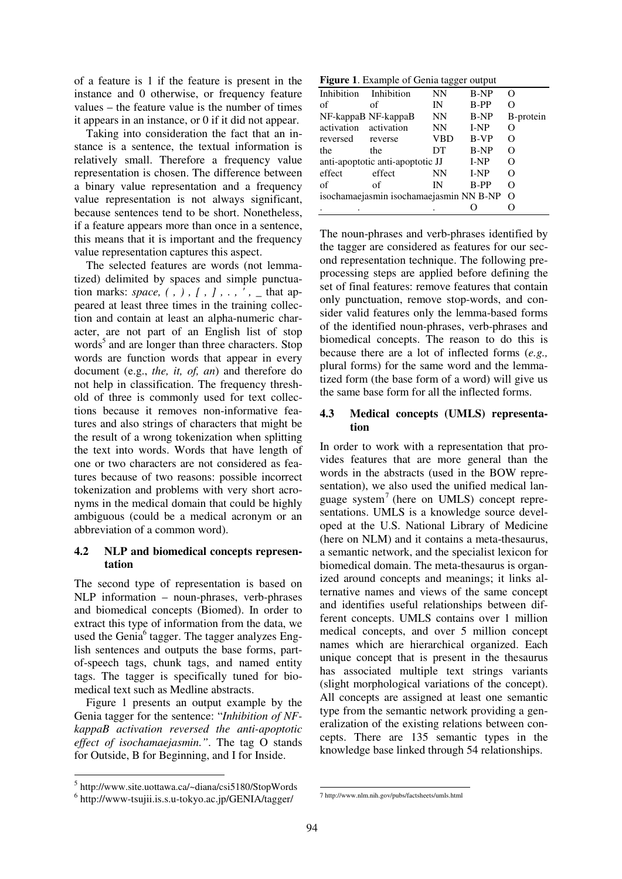of a feature is 1 if the feature is present in the instance and 0 otherwise, or frequency feature values – the feature value is the number of times it appears in an instance, or 0 if it did not appear.

Taking into consideration the fact that an instance is a sentence, the textual information is relatively small. Therefore a frequency value representation is chosen. The difference between a binary value representation and a frequency value representation is not always significant, because sentences tend to be short. Nonetheless, if a feature appears more than once in a sentence, this means that it is important and the frequency value representation captures this aspect.

The selected features are words (not lemmatized) delimited by spaces and simple punctuation marks: *space, ( , ) , [ , ] , . , ' , \_* that appeared at least three times in the training collection and contain at least an alpha-numeric character, are not part of an English list of stop words<sup>5</sup> and are longer than three characters. Stop words are function words that appear in every document (e.g., *the, it, of, an*) and therefore do not help in classification. The frequency threshold of three is commonly used for text collections because it removes non-informative features and also strings of characters that might be the result of a wrong tokenization when splitting the text into words. Words that have length of one or two characters are not considered as features because of two reasons: possible incorrect tokenization and problems with very short acronyms in the medical domain that could be highly ambiguous (could be a medical acronym or an abbreviation of a common word).

# **4.2 NLP and biomedical concepts representation**

The second type of representation is based on NLP information – noun-phrases, verb-phrases and biomedical concepts (Biomed). In order to extract this type of information from the data, we used the Genia<sup>6</sup> tagger. The tagger analyzes English sentences and outputs the base forms, partof-speech tags, chunk tags, and named entity tags. The tagger is specifically tuned for biomedical text such as Medline abstracts.

Figure 1 presents an output example by the Genia tagger for the sentence: "*Inhibition of NFkappaB activation reversed the anti-apoptotic effect of isochamaejasmin."*. The tag O stands for Outside, B for Beginning, and I for Inside.

**Figure 1**. Example of Genia tagger output

|                       |                                         | ັ         |             |           |
|-----------------------|-----------------------------------------|-----------|-------------|-----------|
| <b>Inhibition</b>     | Inhibition                              | NN        | <b>B-NP</b> | Ω         |
| οf                    | οf                                      | IN        | B-PP        | Ω         |
|                       | NF-kappaB NF-kappaB                     | NN        | <b>B-NP</b> | B-protein |
| activation activation |                                         | <b>NN</b> | I-NP        | O         |
| reversed              | reverse                                 | VBD       | <b>B-VP</b> | $\Omega$  |
| the                   | the                                     | DT        | <b>B-NP</b> | Ω         |
|                       | anti-apoptotic anti-apoptotic JJ        |           | $I-NP$      | O         |
| effect                | effect                                  | NN        | <b>I-NP</b> | Ω         |
| οf                    | of                                      | IN        | <b>B-PP</b> | Ω         |
|                       | isochamaejasmin isochamaejasmin NN B-NP |           |             | $\Omega$  |
|                       |                                         |           |             |           |

The noun-phrases and verb-phrases identified by the tagger are considered as features for our second representation technique. The following preprocessing steps are applied before defining the set of final features: remove features that contain only punctuation, remove stop-words, and consider valid features only the lemma-based forms of the identified noun-phrases, verb-phrases and biomedical concepts. The reason to do this is because there are a lot of inflected forms (*e.g.,*  plural forms) for the same word and the lemmatized form (the base form of a word) will give us the same base form for all the inflected forms.

# **4.3 Medical concepts (UMLS) representation**

In order to work with a representation that provides features that are more general than the words in the abstracts (used in the BOW representation), we also used the unified medical language system<sup>7</sup> (here on UMLS) concept representations. UMLS is a knowledge source developed at the U.S. National Library of Medicine (here on NLM) and it contains a meta-thesaurus, a semantic network, and the specialist lexicon for biomedical domain. The meta-thesaurus is organized around concepts and meanings; it links alternative names and views of the same concept and identifies useful relationships between different concepts. UMLS contains over 1 million medical concepts, and over 5 million concept names which are hierarchical organized. Each unique concept that is present in the thesaurus has associated multiple text strings variants (slight morphological variations of the concept). All concepts are assigned at least one semantic type from the semantic network providing a generalization of the existing relations between concepts. There are 135 semantic types in the knowledge base linked through 54 relationships.

<sup>5</sup> http://www.site.uottawa.ca/~diana/csi5180/StopWords

<sup>6</sup> http://www-tsujii.is.s.u-tokyo.ac.jp/GENIA/tagger/

 7 http://www.nlm.nih.gov/pubs/factsheets/umls.html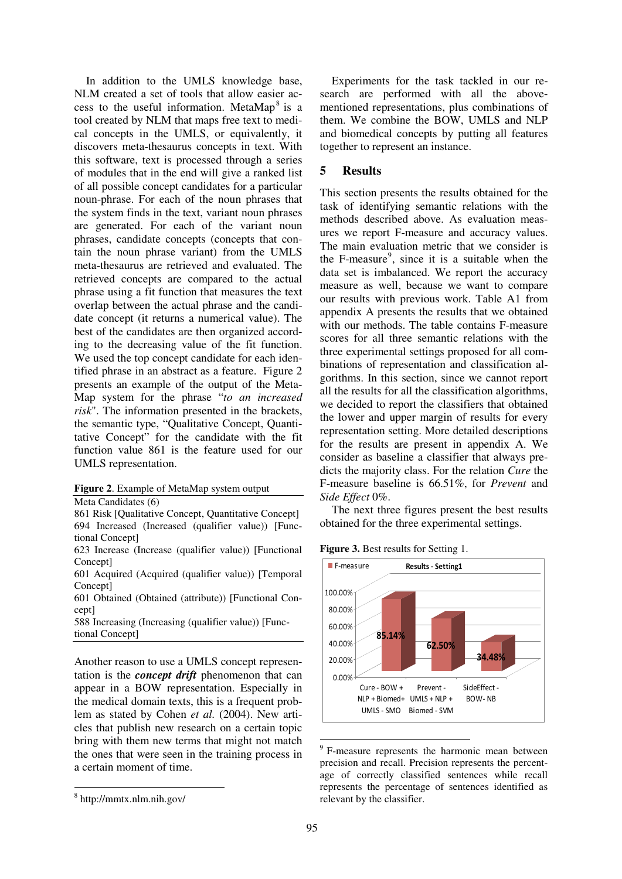In addition to the UMLS knowledge base, NLM created a set of tools that allow easier access to the useful information. MetaMap<sup>8</sup> is a tool created by NLM that maps free text to medical concepts in the UMLS, or equivalently, it discovers meta-thesaurus concepts in text. With this software, text is processed through a series of modules that in the end will give a ranked list of all possible concept candidates for a particular noun-phrase. For each of the noun phrases that the system finds in the text, variant noun phrases are generated. For each of the variant noun phrases, candidate concepts (concepts that contain the noun phrase variant) from the UMLS meta-thesaurus are retrieved and evaluated. The retrieved concepts are compared to the actual phrase using a fit function that measures the text overlap between the actual phrase and the candidate concept (it returns a numerical value). The best of the candidates are then organized according to the decreasing value of the fit function. We used the top concept candidate for each identified phrase in an abstract as a feature. Figure 2 presents an example of the output of the Meta-Map system for the phrase "*to an increased risk*". The information presented in the brackets, the semantic type, "Qualitative Concept, Quantitative Concept" for the candidate with the fit function value 861 is the feature used for our UMLS representation.

Meta Candidates (6)

861 Risk [Qualitative Concept, Quantitative Concept] 694 Increased (Increased (qualifier value)) [Functional Concept]

623 Increase (Increase (qualifier value)) [Functional Concept]

601 Acquired (Acquired (qualifier value)) [Temporal Concept]

601 Obtained (Obtained (attribute)) [Functional Concept]

588 Increasing (Increasing (qualifier value)) [Functional Concept]

Another reason to use a UMLS concept representation is the *concept drift* phenomenon that can appear in a BOW representation. Especially in the medical domain texts, this is a frequent problem as stated by Cohen *et al.* (2004). New articles that publish new research on a certain topic bring with them new terms that might not match the ones that were seen in the training process in a certain moment of time.

Experiments for the task tackled in our research are performed with all the abovementioned representations, plus combinations of them. We combine the BOW, UMLS and NLP and biomedical concepts by putting all features together to represent an instance.

#### **5 Results**

This section presents the results obtained for the task of identifying semantic relations with the methods described above. As evaluation measures we report F-measure and accuracy values. The main evaluation metric that we consider is the F-measure<sup>9</sup>, since it is a suitable when the data set is imbalanced. We report the accuracy measure as well, because we want to compare our results with previous work. Table A1 from appendix A presents the results that we obtained with our methods. The table contains F-measure scores for all three semantic relations with the three experimental settings proposed for all combinations of representation and classification algorithms. In this section, since we cannot report all the results for all the classification algorithms, we decided to report the classifiers that obtained the lower and upper margin of results for every representation setting. More detailed descriptions for the results are present in appendix A. We consider as baseline a classifier that always predicts the majority class. For the relation *Cure* the F-measure baseline is 66.51%, for *Prevent* and *Side Effect* 0%.

The next three figures present the best results obtained for the three experimental settings.

**Figure 3.** Best results for Setting 1.



<sup>9</sup> F-measure represents the harmonic mean between precision and recall. Precision represents the percentage of correctly classified sentences while recall represents the percentage of sentences identified as relevant by the classifier.

<sup>8</sup> http://mmtx.nlm.nih.gov/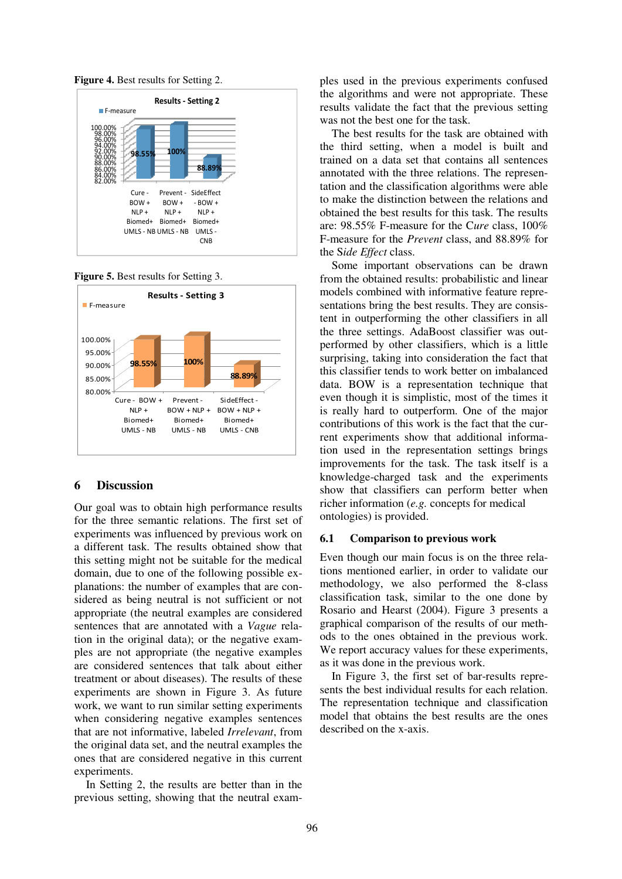**Figure 4.** Best results for Setting 2.



**Figure 5.** Best results for Setting 3.



# **6 Discussion**

Our goal was to obtain high performance results for the three semantic relations. The first set of experiments was influenced by previous work on a different task. The results obtained show that this setting might not be suitable for the medical domain, due to one of the following possible explanations: the number of examples that are considered as being neutral is not sufficient or not appropriate (the neutral examples are considered sentences that are annotated with a *Vague* relation in the original data); or the negative examples are not appropriate (the negative examples are considered sentences that talk about either treatment or about diseases). The results of these experiments are shown in Figure 3. As future work, we want to run similar setting experiments when considering negative examples sentences that are not informative, labeled *Irrelevant*, from the original data set, and the neutral examples the ones that are considered negative in this current experiments.

In Setting 2, the results are better than in the previous setting, showing that the neutral examples used in the previous experiments confused the algorithms and were not appropriate. These results validate the fact that the previous setting was not the best one for the task.

The best results for the task are obtained with the third setting, when a model is built and trained on a data set that contains all sentences annotated with the three relations. The representation and the classification algorithms were able to make the distinction between the relations and obtained the best results for this task. The results are: 98.55% F-measure for the C*ure* class, 100% F-measure for the *Prevent* class, and 88.89% for the S*ide Effect* class.

Some important observations can be drawn from the obtained results: probabilistic and linear models combined with informative feature representations bring the best results. They are consistent in outperforming the other classifiers in all the three settings. AdaBoost classifier was outperformed by other classifiers, which is a little surprising, taking into consideration the fact that this classifier tends to work better on imbalanced data. BOW is a representation technique that even though it is simplistic, most of the times it is really hard to outperform. One of the major contributions of this work is the fact that the current experiments show that additional information used in the representation settings brings improvements for the task. The task itself is a knowledge-charged task and the experiments show that classifiers can perform better when richer information (*e.g.* concepts for medical ontologies) is provided.

#### **6.1 Comparison to previous work**

Even though our main focus is on the three relations mentioned earlier, in order to validate our methodology, we also performed the 8-class classification task, similar to the one done by Rosario and Hearst (2004). Figure 3 presents a graphical comparison of the results of our methods to the ones obtained in the previous work. We report accuracy values for these experiments, as it was done in the previous work.

In Figure 3, the first set of bar-results represents the best individual results for each relation. The representation technique and classification model that obtains the best results are the ones described on the x-axis.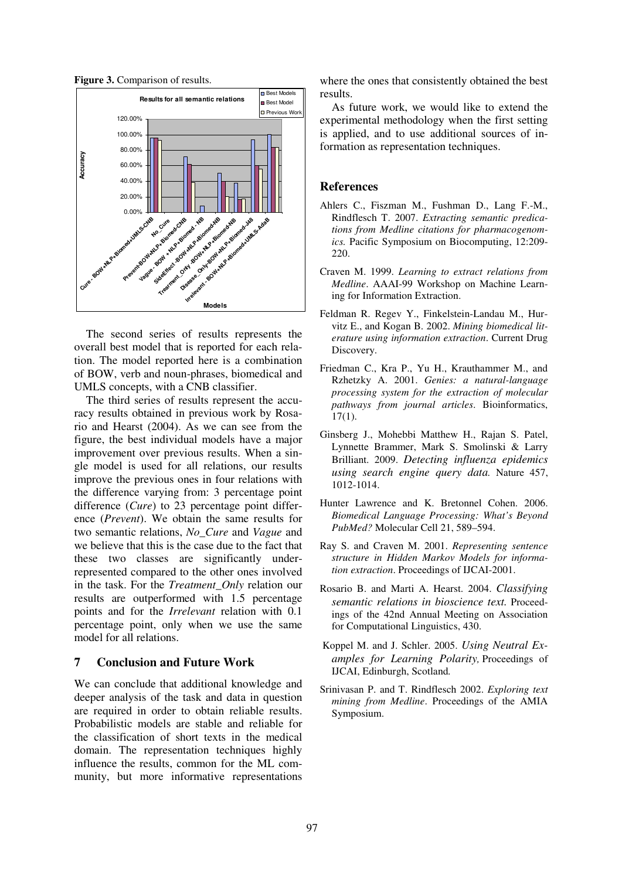**Figure 3.** Comparison of results.



The second series of results represents the overall best model that is reported for each relation. The model reported here is a combination of BOW, verb and noun-phrases, biomedical and UMLS concepts, with a CNB classifier.

The third series of results represent the accuracy results obtained in previous work by Rosario and Hearst (2004). As we can see from the figure, the best individual models have a major improvement over previous results. When a single model is used for all relations, our results improve the previous ones in four relations with the difference varying from: 3 percentage point difference (*Cure*) to 23 percentage point difference (*Prevent*). We obtain the same results for two semantic relations, *No\_Cure* and *Vague* and we believe that this is the case due to the fact that these two classes are significantly underrepresented compared to the other ones involved in the task. For the *Treatment\_Only* relation our results are outperformed with 1.5 percentage points and for the *Irrelevant* relation with 0.1 percentage point, only when we use the same model for all relations.

# **7 Conclusion and Future Work**

We can conclude that additional knowledge and deeper analysis of the task and data in question are required in order to obtain reliable results. Probabilistic models are stable and reliable for the classification of short texts in the medical domain. The representation techniques highly influence the results, common for the ML community, but more informative representations

where the ones that consistently obtained the best results.

As future work, we would like to extend the experimental methodology when the first setting is applied, and to use additional sources of information as representation techniques.

#### **References**

- Ahlers C., Fiszman M., Fushman D., Lang F.-M., Rindflesch T. 2007. *Extracting semantic predications from Medline citations for pharmacogenomics.* Pacific Symposium on Biocomputing, 12:209- 220.
- Craven M. 1999. *Learning to extract relations from Medline*. AAAI-99 Workshop on Machine Learning for Information Extraction.
- Feldman R. Regev Y., Finkelstein-Landau M., Hurvitz E., and Kogan B. 2002. *Mining biomedical literature using information extraction*. Current Drug Discovery.
- Friedman C., Kra P., Yu H., Krauthammer M., and Rzhetzky A. 2001. *Genies: a natural-language processing system for the extraction of molecular pathways from journal articles*. Bioinformatics,  $17(1)$ .
- Ginsberg J., Mohebbi Matthew H., Rajan S. Patel, Lynnette Brammer, Mark S. Smolinski & Larry Brilliant. 2009. *Detecting influenza epidemics using search engine query data.* Nature 457, 1012-1014.
- Hunter Lawrence and K. Bretonnel Cohen. 2006. *Biomedical Language Processing: What's Beyond PubMed?* Molecular Cell 21, 589–594.
- Ray S. and Craven M. 2001. *Representing sentence structure in Hidden Markov Models for information extraction*. Proceedings of IJCAI-2001.
- Rosario B. and Marti A. Hearst. 2004. *Classifying semantic relations in bioscience text.* Proceedings of the 42nd Annual Meeting on Association for Computational Linguistics, 430.
- Koppel M. and J. Schler. 2005. *Using Neutral Examples for Learning Polarity,* Proceedings of IJCAI, Edinburgh, Scotland*.*
- Srinivasan P. and T. Rindflesch 2002. *Exploring text mining from Medline*. Proceedings of the AMIA Symposium.